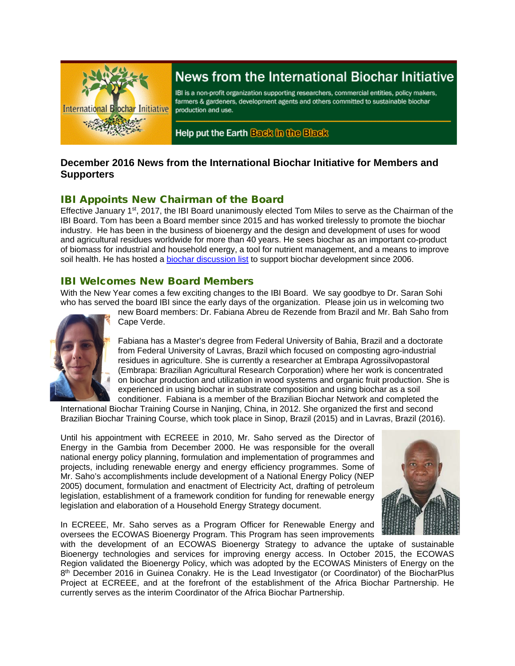

# News from the International Biochar Initiative

IBI is a non-profit organization supporting researchers, commercial entities, policy makers, farmers & gardeners, development agents and others committed to sustainable biochar production and use.

Help put the Earth Back in the Black

# **December 2016 News from the International Biochar Initiative for Members and Supporters**

# IBI Appoints New Chairman of the Board

Effective January 1st, 2017, the IBI Board unanimously elected Tom Miles to serve as the Chairman of the IBI Board. Tom has been a Board member since 2015 and has worked tirelessly to promote the biochar industry. He has been in the business of bioenergy and the design and development of uses for wood and agricultural residues worldwide for more than 40 years. He sees biochar as an important co-product of biomass for industrial and household energy, a tool for nutrient management, and a means to improve soil health. He has hosted a [biochar discussion list](https://beta.groups.yahoo.com/neo/groups/biochar/info) to support biochar development since 2006.

## IBI Welcomes New Board Members

With the New Year comes a few exciting changes to the IBI Board. We say goodbye to Dr. Saran Sohi who has served the board IBI since the early days of the organization. Please join us in welcoming two



new Board members: Dr. Fabiana Abreu de Rezende from Brazil and Mr. Bah Saho from Cape Verde.

Fabiana has a Master's degree from Federal University of Bahia, Brazil and a doctorate from Federal University of Lavras, Brazil which focused on composting agro-industrial residues in agriculture. She is currently a researcher at Embrapa Agrossilvopastoral (Embrapa: Brazilian Agricultural Research Corporation) where her work is concentrated on biochar production and utilization in wood systems and organic fruit production. She is experienced in using biochar in substrate composition and using biochar as a soil conditioner. Fabiana is a member of the Brazilian Biochar Network and completed the

International Biochar Training Course in Nanjing, China, in 2012. She organized the first and second Brazilian Biochar Training Course, which took place in Sinop, Brazil (2015) and in Lavras, Brazil (2016).

Until his appointment with ECREEE in 2010, Mr. Saho served as the Director of Energy in the Gambia from December 2000. He was responsible for the overall national energy policy planning, formulation and implementation of programmes and projects, including renewable energy and energy efficiency programmes. Some of Mr. Saho's accomplishments include development of a National Energy Policy (NEP 2005) document, formulation and enactment of Electricity Act, drafting of petroleum legislation, establishment of a framework condition for funding for renewable energy legislation and elaboration of a Household Energy Strategy document.



In ECREEE, Mr. Saho serves as a Program Officer for Renewable Energy and oversees the ECOWAS Bioenergy Program. This Program has seen improvements

with the development of an ECOWAS Bioenergy Strategy to advance the uptake of sustainable Bioenergy technologies and services for improving energy access. In October 2015, the ECOWAS Region validated the Bioenergy Policy, which was adopted by the ECOWAS Ministers of Energy on the 8<sup>th</sup> December 2016 in Guinea Conakry. He is the Lead Investigator (or Coordinator) of the BiocharPlus Project at ECREEE, and at the forefront of the establishment of the Africa Biochar Partnership. He currently serves as the interim Coordinator of the Africa Biochar Partnership.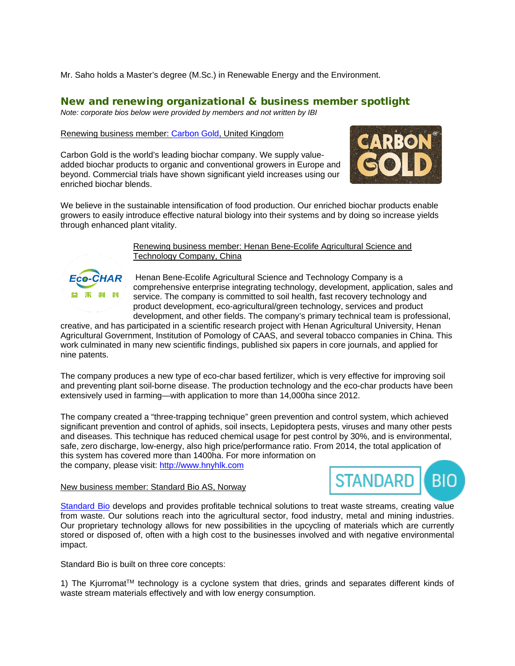Mr. Saho holds a Master's degree (M.Sc.) in Renewable Energy and the Environment.

# New and renewing organizational & business member spotlight

*Note: corporate bios below were provided by members and not written by IBI*

### Renewing business member[: Carbon Gold,](http://www.carbongold.com/) United Kingdom

Carbon Gold is the world's leading biochar company. We supply valueadded biochar products to organic and conventional growers in Europe and beyond. Commercial trials have shown significant yield increases using our enriched biochar blends.



We believe in the sustainable intensification of food production. Our enriched biochar products enable growers to easily introduce effective natural biology into their systems and by doing so increase yields through enhanced plant vitality.



Renewing business member: Henan Bene-Ecolife Agricultural Science and Technology Company, China

Henan Bene-Ecolife Agricultural Science and Technology Company is a comprehensive enterprise integrating technology, development, application, sales and service. The company is committed to soil health, fast recovery technology and product development, eco-agricultural/green technology, services and product development, and other fields. The company's primary technical team is professional,

creative, and has participated in a scientific research project with Henan Agricultural University, Henan Agricultural Government, Institution of Pomology of CAAS, and several tobacco companies in China. This work culminated in many new scientific findings, published six papers in core journals, and applied for nine patents.

The company produces a new type of eco-char based fertilizer, which is very effective for improving soil and preventing plant soil-borne disease. The production technology and the eco-char products have been extensively used in farming—with application to more than 14,000ha since 2012.

The company created a "three-trapping technique" green prevention and control system, which achieved significant prevention and control of aphids, soil insects, Lepidoptera pests, viruses and many other pests and diseases. This technique has reduced chemical usage for pest control by 30%, and is environmental, safe, zero discharge, low-energy, also high price/performance ratio. From 2014, the total application of this system has covered more than 1400ha. For more information on the company, please visit: [http://www.hnyhlk.com](http://www.hnyhlk.com/)

#### New business member: Standard Bio AS, Norway



[Standard Bio](http://standard.bio/) develops and provides profitable technical solutions to treat waste streams, creating value from waste. Our solutions reach into the agricultural sector, food industry, metal and mining industries. Our proprietary technology allows for new possibilities in the upcycling of materials which are currently stored or disposed of, often with a high cost to the businesses involved and with negative environmental impact.

Standard Bio is built on three core concepts:

1) The Kjurromat<sup>TM</sup> technology is a cyclone system that dries, grinds and separates different kinds of waste stream materials effectively and with low energy consumption.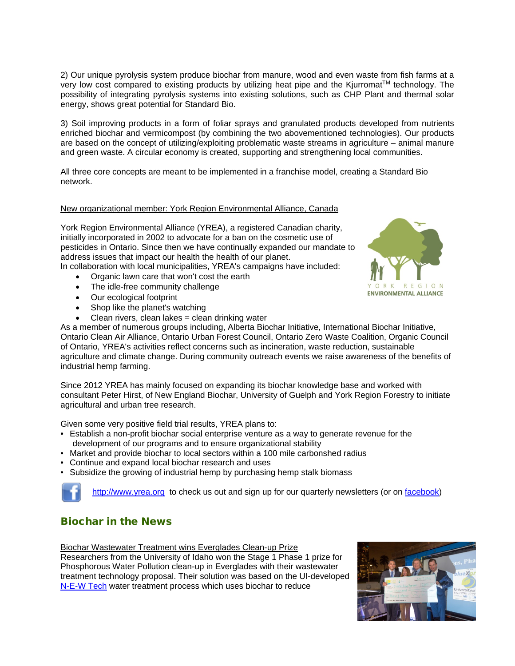2) Our unique pyrolysis system produce biochar from manure, wood and even waste from fish farms at a very low cost compared to existing products by utilizing heat pipe and the Kjurromat™ technology. The possibility of integrating pyrolysis systems into existing solutions, such as CHP Plant and thermal solar energy, shows great potential for Standard Bio.

3) Soil improving products in a form of foliar sprays and granulated products developed from nutrients enriched biochar and vermicompost (by combining the two abovementioned technologies). Our products are based on the concept of utilizing/exploiting problematic waste streams in agriculture – animal manure and green waste. A circular economy is created, supporting and strengthening local communities.

All three core concepts are meant to be implemented in a franchise model, creating a Standard Bio network.

#### New organizational member: York Region Environmental Alliance, Canada

York Region Environmental Alliance (YREA), a registered Canadian charity, initially incorporated in 2002 to advocate for a ban on the cosmetic use of pesticides in Ontario. Since then we have continually expanded our mandate to address issues that impact our health the health of our planet.

In collaboration with local municipalities, YREA's campaigns have included:

- Organic lawn care that won't cost the earth
- The idle-free community challenge
- Our ecological footprint
- Shop like the planet's watching
- Clean rivers, clean lakes = clean drinking water

As a member of numerous groups including, Alberta Biochar Initiative, International Biochar Initiative, Ontario Clean Air Alliance, Ontario Urban Forest Council, Ontario Zero Waste Coalition, Organic Council of Ontario, YREA's activities reflect concerns such as incineration, waste reduction, sustainable agriculture and climate change. During community outreach events we raise awareness of the benefits of industrial hemp farming.

Since 2012 YREA has mainly focused on expanding its biochar knowledge base and worked with consultant Peter Hirst, of New England Biochar, University of Guelph and York Region Forestry to initiate agricultural and urban tree research.

Given some very positive field trial results, YREA plans to:

- Establish a non-profit biochar social enterprise venture as a way to generate revenue for the development of our programs and to ensure organizational stability
- Market and provide biochar to local sectors within a 100 mile carbonshed radius
- Continue and expand local biochar research and uses
- Subsidize the growing of industrial hemp by purchasing hemp stalk biomass

[http://www.yrea.org](http://www.yrea.org/) to check us out and sign up for our quarterly newsletters (or on [facebook\)](https://www.facebook.com/York-Region-Environmental-Alliance-108786649195158/)

### Biochar in the News

Biochar Wastewater Treatment wins Everglades Clean-up Prize

Researchers from the University of Idaho won the Stage 1 Phase 1 prize for Phosphorous Water Pollution clean-up in Everglades with their wastewater treatment technology proposal. Their solution was based on the UI-developed [N-E-W Tech](https://www.uidaho.edu/research/news/research-reports/2016/environment/wastewater) water treatment process which uses biochar to reduce



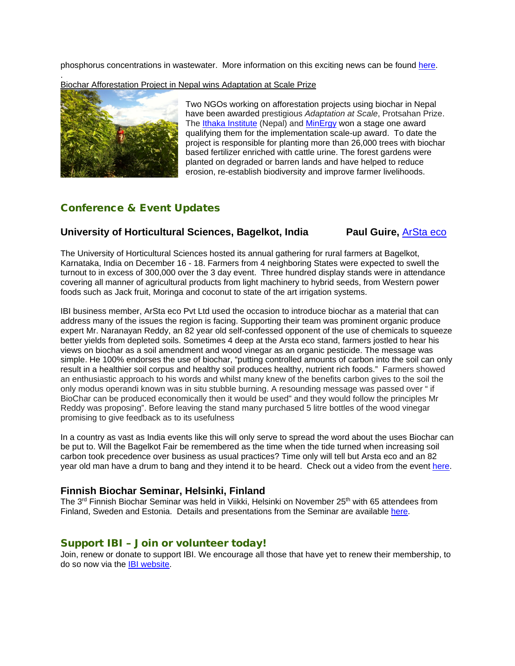phosphorus concentrations in wastewater. More information on this exciting news can be found [here.](http://www.uidaho.edu/news/news-articles/news-releases/2016-december/1208016-evergladescontest)

. Biochar Afforestation Project in Nepal wins Adaptation at Scale Prize



Two NGOs working on afforestation projects using biochar in Nepal have been awarded prestigious *Adaptation at Scale*, [Protsahan Prize.](http://www.adaptationatscale.org/protsahan-prize/) The [Ithaka Institute](http://www.ithaka-institut.org/en/) (Nepal) and [MinErgy](http://www.minergynepal.com/) won a stage one award qualifying them for the implementation scale-up award. To date the project is responsible for planting more than 26,000 trees with biochar based fertilizer enriched with cattle urine. The forest gardens were planted on degraded or barren lands and have helped to reduce erosion, re-establish biodiversity and improve farmer livelihoods.

# Conference & Event Updates

#### **University of Horticultural Sciences, Bagelkot, India Paul Guire, [ArSta eco](http://arstaeco.com/)**

The University of Horticultural Sciences hosted its annual gathering for rural farmers at Bagelkot, Karnataka, India on December 16 - 18. Farmers from 4 neighboring States were expected to swell the turnout to in excess of 300,000 over the 3 day event. Three hundred display stands were in attendance covering all manner of agricultural products from light machinery to hybrid seeds, from Western power foods such as Jack fruit, Moringa and coconut to state of the art irrigation systems.

IBI business member, ArSta eco Pvt Ltd used the occasion to introduce biochar as a material that can address many of the issues the region is facing. Supporting their team was prominent organic produce expert Mr. Naranayan Reddy, an 82 year old self-confessed opponent of the use of chemicals to squeeze better yields from depleted soils. Sometimes 4 deep at the Arsta eco stand, farmers jostled to hear his views on biochar as a soil amendment and wood vinegar as an organic pesticide. The message was simple. He 100% endorses the use of biochar, "putting controlled amounts of carbon into the soil can only result in a healthier soil corpus and healthy soil produces healthy, nutrient rich foods." Farmers showed an enthusiastic approach to his words and whilst many knew of the benefits carbon gives to the soil the only modus operandi known was in situ stubble burning. A resounding message was passed over " if BioChar can be produced economically then it would be used" and they would follow the principles Mr Reddy was proposing". Before leaving the stand many purchased 5 litre bottles of the wood vinegar promising to give feedback as to its usefulness

In a country as vast as India events like this will only serve to spread the word about the uses Biochar can be put to. Will the Bagelkot Fair be remembered as the time when the tide turned when increasing soil carbon took precedence over business as usual practices? Time only will tell but Arsta eco and an 82 year old man have a drum to bang and they intend it to be heard. Check out a video from the event [here.](https://www.facebook.com/shankar.mk/videos/10154735181039774/)

### **Finnish Biochar Seminar, Helsinki, Finland**

The 3<sup>rd</sup> Finnish Biochar Seminar was held in Viikki, Helsinki on November 25<sup>th</sup> with 65 attendees from Finland, Sweden and Estonia. Details and presentations from the Seminar are available [here.](http://biochar-hy.blogspot.com.ee/p/3rd-finnish-biochar-seminar.html)

### Support IBI – Join or volunteer today!

Join, renew or donate to support IBI. We encourage all those that have yet to renew their membership, to do so now via the [IBI website.](http://biochar-international.org/join)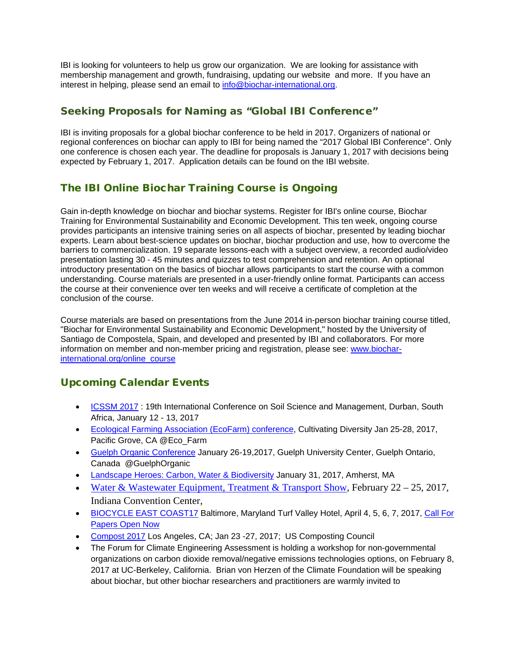IBI is looking for volunteers to help us grow our organization. We are looking for assistance with membership management and growth, fundraising, updating our website and more. If you have an interest in helping, please send an email to [info@biochar-international.org.](mailto:info@biochar-international.org)

# Seeking Proposals for Naming as "Global IBI Conference"

IBI is inviting proposals for a global biochar conference to be held in 2017. Organizers of national or regional conferences on biochar can apply to IBI for being named the "2017 Global IBI Conference". Only one conference is chosen each year. The deadline for proposals is January 1, 2017 with decisions being expected by February 1, 2017. Application details can be found on the IBI website.

# The IBI Online Biochar Training Course is Ongoing

Gain in-depth knowledge on biochar and biochar systems. Register for IBI's online course, Biochar Training for Environmental Sustainability and Economic Development. This ten week, ongoing course provides participants an intensive training series on all aspects of biochar, presented by leading biochar experts. Learn about best-science updates on biochar, biochar production and use, how to overcome the barriers to commercialization. 19 separate lessons-each with a subject overview, a recorded audio/video presentation lasting 30 - 45 minutes and quizzes to test comprehension and retention. An optional introductory presentation on the basics of biochar allows participants to start the course with a common understanding. Course materials are presented in a user-friendly online format. Participants can access the course at their convenience over ten weeks and will receive a certificate of completion at the conclusion of the course.

Course materials are based on presentations from the June 2014 in-person biochar training course titled, "Biochar for Environmental Sustainability and Economic Development," hosted by the University of Santiago de Compostela, Spain, and developed and presented by IBI and collaborators. For more information on member and non-member pricing and registration, please see: [www.biochar](http://www.biochar-international.org/online_course)[international.org/online\\_course](http://www.biochar-international.org/online_course)

# Upcoming Calendar Events

- [ICSSM 2017](https://www.waset.org/conference/2017/01/durban/ICSSM): 19th International Conference on Soil Science and Management, Durban, South Africa, January 12 - 13, 2017
- [Ecological Farming Association \(EcoFarm\) conference,](https://eco-farm.org/conference) Cultivating Diversity Jan 25-28, 2017, Pacific Grove, CA @Eco\_Farm
- [Guelph Organic Conference](http://www.guelphorganicconf.ca/) January 26-19,2017, Guelph University Center, Guelph Ontario, Canada @GuelphOrganic
- [Landscape Heroes: Carbon, Water & Biodiversity](http://www.ecolandscaping.org/event/carbon-conference/) January 31, 2017, Amherst, MA
- [Water & Wastewater Equipment, Treatment & Transport Show,](https://wwettshow.com/) February 22 25, 2017, Indiana Convention Center,
- [BIOCYCLE EAST COAST17](http://www.biocycleeastcoast.com/) Baltimore, Maryland Turf Valley Hotel, April 4, 5, 6, 7, 2017, Call For [Papers Open Now](https://www.biocycle.net/conferences/event-calendar/)
- [Compost 2017](http://compostingcouncil.org/compost-conference/compost-conference.html) Los Angeles, CA; Jan 23 -27, 2017; US Composting Council
- The Forum for Climate Engineering Assessment is holding a workshop for non-governmental organizations on carbon dioxide removal/negative emissions technologies options, on February 8, 2017 at UC-Berkeley, California. Brian von Herzen of the Climate Foundation will be speaking about biochar, but other biochar researchers and practitioners are warmly invited to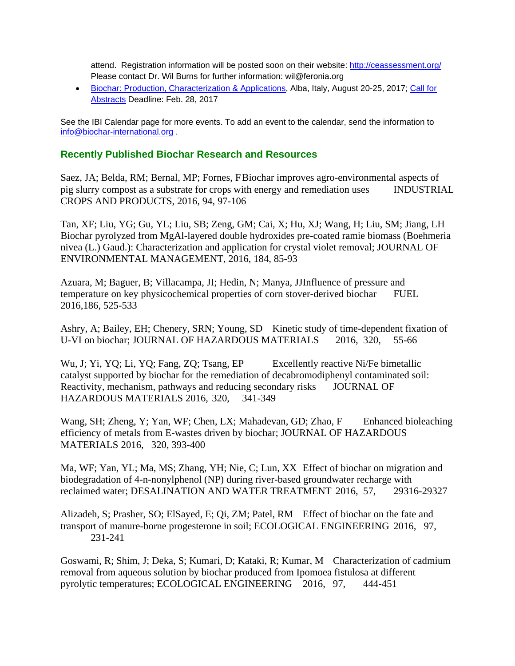attend. Registration information will be posted soon on their website:<http://ceassessment.org/> Please contact Dr. Wil Burns for further information: wil@feronia.org

• [Biochar: Production, Characterization & Applications,](http://www.engconf.org/biochar-production-characterization-and-applications/) Alba, Italy, August 20-25, 2017; [Call for](http://www.engconf.org/biochar-production-characterization-and-applications/#header2)  [Abstracts](http://www.engconf.org/biochar-production-characterization-and-applications/#header2) Deadline: Feb. 28, 2017

See the IBI Calendar page for more events. To add an event to the calendar, send the information to [info@biochar-international.org](mailto:info@biochar-international.org) .

# **Recently Published Biochar Research and Resources**

Saez, JA; Belda, RM; Bernal, MP; Fornes, FBiochar improves agro-environmental aspects of pig slurry compost as a substrate for crops with energy and remediation uses INDUSTRIAL CROPS AND PRODUCTS, 2016, 94, 97-106

Tan, XF; Liu, YG; Gu, YL; Liu, SB; Zeng, GM; Cai, X; Hu, XJ; Wang, H; Liu, SM; Jiang, LH Biochar pyrolyzed from MgAl-layered double hydroxides pre-coated ramie biomass (Boehmeria nivea (L.) Gaud.): Characterization and application for crystal violet removal; JOURNAL OF ENVIRONMENTAL MANAGEMENT, 2016, 184, 85-93

Azuara, M; Baguer, B; Villacampa, JI; Hedin, N; Manya, JJInfluence of pressure and temperature on key physicochemical properties of corn stover-derived biochar FUEL 2016,186, 525-533

Ashry, A; Bailey, EH; Chenery, SRN; Young, SD Kinetic study of time-dependent fixation of U-VI on biochar; JOURNAL OF HAZARDOUS MATERIALS 2016, 320, 55-66

Wu, J; Yi, YQ; Li, YQ; Fang, ZQ; Tsang, EP Excellently reactive Ni/Fe bimetallic catalyst supported by biochar for the remediation of decabromodiphenyl contaminated soil: Reactivity, mechanism, pathways and reducing secondary risks JOURNAL OF HAZARDOUS MATERIALS 2016, 320, 341-349

Wang, SH; Zheng, Y; Yan, WF; Chen, LX; Mahadevan, GD; Zhao, F Enhanced bioleaching efficiency of metals from E-wastes driven by biochar; JOURNAL OF HAZARDOUS MATERIALS 2016, 320, 393-400

Ma, WF; Yan, YL; Ma, MS; Zhang, YH; Nie, C; Lun, XX Effect of biochar on migration and biodegradation of 4-n-nonylphenol (NP) during river-based groundwater recharge with reclaimed water; DESALINATION AND WATER TREATMENT 2016, 57, 29316-29327

Alizadeh, S; Prasher, SO; ElSayed, E; Qi, ZM; Patel, RM Effect of biochar on the fate and transport of manure-borne progesterone in soil; ECOLOGICAL ENGINEERING 2016, 97, 231-241

Goswami, R; Shim, J; Deka, S; Kumari, D; Kataki, R; Kumar, M Characterization of cadmium removal from aqueous solution by biochar produced from Ipomoea fistulosa at different pyrolytic temperatures; ECOLOGICAL ENGINEERING 2016, 97, 444-451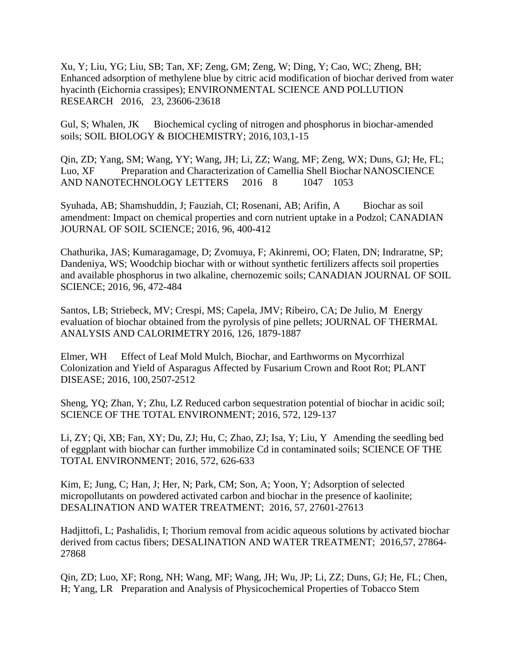Xu, Y; Liu, YG; Liu, SB; Tan, XF; Zeng, GM; Zeng, W; Ding, Y; Cao, WC; Zheng, BH; Enhanced adsorption of methylene blue by citric acid modification of biochar derived from water hyacinth (Eichornia crassipes); ENVIRONMENTAL SCIENCE AND POLLUTION RESEARCH 2016, 23, 23606-23618

Gul, S; Whalen, JK Biochemical cycling of nitrogen and phosphorus in biochar-amended soils; SOIL BIOLOGY & BIOCHEMISTRY; 2016,103,1-15

Qin, ZD; Yang, SM; Wang, YY; Wang, JH; Li, ZZ; Wang, MF; Zeng, WX; Duns, GJ; He, FL; Luo, XF Preparation and Characterization of Camellia Shell Biochar NANOSCIENCE AND NANOTECHNOLOGY LETTERS 2016 8 1047 1053

Syuhada, AB; Shamshuddin, J; Fauziah, CI; Rosenani, AB; Arifin, A Biochar as soil amendment: Impact on chemical properties and corn nutrient uptake in a Podzol; CANADIAN JOURNAL OF SOIL SCIENCE; 2016, 96, 400-412

Chathurika, JAS; Kumaragamage, D; Zvomuya, F; Akinremi, OO; Flaten, DN; Indraratne, SP; Dandeniya, WS; Woodchip biochar with or without synthetic fertilizers affects soil properties and available phosphorus in two alkaline, chernozemic soils; CANADIAN JOURNAL OF SOIL SCIENCE; 2016, 96, 472-484

Santos, LB; Striebeck, MV; Crespi, MS; Capela, JMV; Ribeiro, CA; De Julio, M Energy evaluation of biochar obtained from the pyrolysis of pine pellets; JOURNAL OF THERMAL ANALYSIS AND CALORIMETRY 2016, 126, 1879-1887

Elmer, WH Effect of Leaf Mold Mulch, Biochar, and Earthworms on Mycorrhizal Colonization and Yield of Asparagus Affected by Fusarium Crown and Root Rot; PLANT DISEASE; 2016, 100,2507-2512

Sheng, YQ; Zhan, Y; Zhu, LZ Reduced carbon sequestration potential of biochar in acidic soil; SCIENCE OF THE TOTAL ENVIRONMENT; 2016, 572, 129-137

Li, ZY; Qi, XB; Fan, XY; Du, ZJ; Hu, C; Zhao, ZJ; Isa, Y; Liu, Y Amending the seedling bed of eggplant with biochar can further immobilize Cd in contaminated soils; SCIENCE OF THE TOTAL ENVIRONMENT; 2016, 572, 626-633

Kim, E; Jung, C; Han, J; Her, N; Park, CM; Son, A; Yoon, Y; Adsorption of selected micropollutants on powdered activated carbon and biochar in the presence of kaolinite; DESALINATION AND WATER TREATMENT; 2016, 57, 27601-27613

Hadjittofi, L; Pashalidis, I; Thorium removal from acidic aqueous solutions by activated biochar derived from cactus fibers; DESALINATION AND WATER TREATMENT; 2016,57, 27864- 27868

Qin, ZD; Luo, XF; Rong, NH; Wang, MF; Wang, JH; Wu, JP; Li, ZZ; Duns, GJ; He, FL; Chen, H; Yang, LR Preparation and Analysis of Physicochemical Properties of Tobacco Stem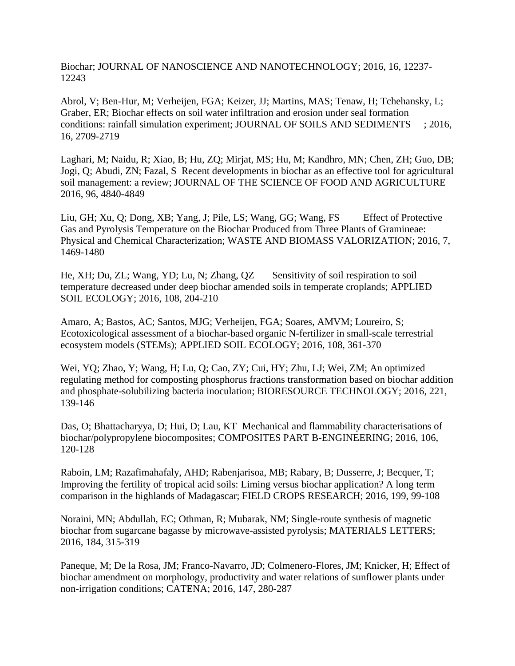Biochar; JOURNAL OF NANOSCIENCE AND NANOTECHNOLOGY; 2016, 16, 12237- 12243

Abrol, V; Ben-Hur, M; Verheijen, FGA; Keizer, JJ; Martins, MAS; Tenaw, H; Tchehansky, L; Graber, ER; Biochar effects on soil water infiltration and erosion under seal formation conditions: rainfall simulation experiment; JOURNAL OF SOILS AND SEDIMENTS ; 2016, 16, 2709-2719

Laghari, M; Naidu, R; Xiao, B; Hu, ZQ; Mirjat, MS; Hu, M; Kandhro, MN; Chen, ZH; Guo, DB; Jogi, Q; Abudi, ZN; Fazal, S Recent developments in biochar as an effective tool for agricultural soil management: a review; JOURNAL OF THE SCIENCE OF FOOD AND AGRICULTURE 2016, 96, 4840-4849

Liu, GH; Xu, Q; Dong, XB; Yang, J; Pile, LS; Wang, GG; Wang, FS Effect of Protective Gas and Pyrolysis Temperature on the Biochar Produced from Three Plants of Gramineae: Physical and Chemical Characterization; WASTE AND BIOMASS VALORIZATION; 2016, 7, 1469-1480

He, XH; Du, ZL; Wang, YD; Lu, N; Zhang, QZ Sensitivity of soil respiration to soil temperature decreased under deep biochar amended soils in temperate croplands; APPLIED SOIL ECOLOGY; 2016, 108, 204-210

Amaro, A; Bastos, AC; Santos, MJG; Verheijen, FGA; Soares, AMVM; Loureiro, S; Ecotoxicological assessment of a biochar-based organic N-fertilizer in small-scale terrestrial ecosystem models (STEMs); APPLIED SOIL ECOLOGY; 2016, 108, 361-370

Wei, YQ; Zhao, Y; Wang, H; Lu, Q; Cao, ZY; Cui, HY; Zhu, LJ; Wei, ZM; An optimized regulating method for composting phosphorus fractions transformation based on biochar addition and phosphate-solubilizing bacteria inoculation; BIORESOURCE TECHNOLOGY; 2016, 221, 139-146

Das, O; Bhattacharyya, D; Hui, D; Lau, KT Mechanical and flammability characterisations of biochar/polypropylene biocomposites; COMPOSITES PART B-ENGINEERING; 2016, 106, 120-128

Raboin, LM; Razafimahafaly, AHD; Rabenjarisoa, MB; Rabary, B; Dusserre, J; Becquer, T; Improving the fertility of tropical acid soils: Liming versus biochar application? A long term comparison in the highlands of Madagascar; FIELD CROPS RESEARCH; 2016, 199, 99-108

Noraini, MN; Abdullah, EC; Othman, R; Mubarak, NM; Single-route synthesis of magnetic biochar from sugarcane bagasse by microwave-assisted pyrolysis; MATERIALS LETTERS; 2016, 184, 315-319

Paneque, M; De la Rosa, JM; Franco-Navarro, JD; Colmenero-Flores, JM; Knicker, H; Effect of biochar amendment on morphology, productivity and water relations of sunflower plants under non-irrigation conditions; CATENA; 2016, 147, 280-287